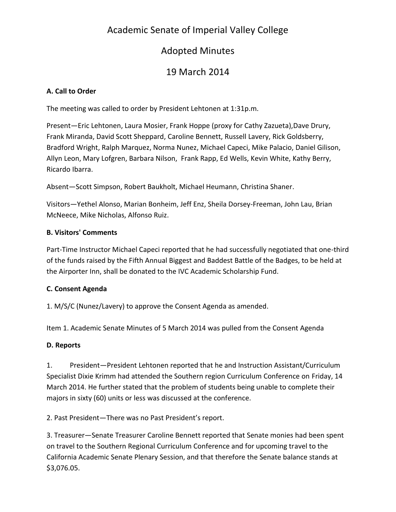# Academic Senate of Imperial Valley College

# Adopted Minutes

# 19 March 2014

# **A. Call to Order**

The meeting was called to order by President Lehtonen at 1:31p.m.

Present—Eric Lehtonen, Laura Mosier, Frank Hoppe (proxy for Cathy Zazueta),Dave Drury, Frank Miranda, David Scott Sheppard, Caroline Bennett, Russell Lavery, Rick Goldsberry, Bradford Wright, Ralph Marquez, Norma Nunez, Michael Capeci, Mike Palacio, Daniel Gilison, Allyn Leon, Mary Lofgren, Barbara Nilson, Frank Rapp, Ed Wells, Kevin White, Kathy Berry, Ricardo Ibarra.

Absent—Scott Simpson, Robert Baukholt, Michael Heumann, Christina Shaner.

Visitors—Yethel Alonso, Marian Bonheim, Jeff Enz, Sheila Dorsey-Freeman, John Lau, Brian McNeece, Mike Nicholas, Alfonso Ruiz.

# **B. Visitors' Comments**

Part-Time Instructor Michael Capeci reported that he had successfully negotiated that one-third of the funds raised by the Fifth Annual Biggest and Baddest Battle of the Badges, to be held at the Airporter Inn, shall be donated to the IVC Academic Scholarship Fund.

# **C. Consent Agenda**

1. M/S/C (Nunez/Lavery) to approve the Consent Agenda as amended.

Item 1. Academic Senate Minutes of 5 March 2014 was pulled from the Consent Agenda

# **D. Reports**

1. President—President Lehtonen reported that he and Instruction Assistant/Curriculum Specialist Dixie Krimm had attended the Southern region Curriculum Conference on Friday, 14 March 2014. He further stated that the problem of students being unable to complete their majors in sixty (60) units or less was discussed at the conference.

2. Past President—There was no Past President's report.

3. Treasurer—Senate Treasurer Caroline Bennett reported that Senate monies had been spent on travel to the Southern Regional Curriculum Conference and for upcoming travel to the California Academic Senate Plenary Session, and that therefore the Senate balance stands at \$3,076.05.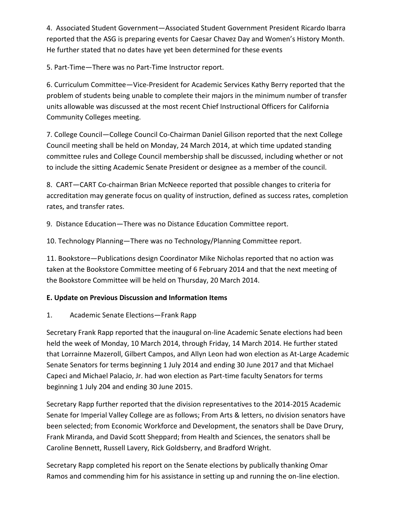4. Associated Student Government—Associated Student Government President Ricardo Ibarra reported that the ASG is preparing events for Caesar Chavez Day and Women's History Month. He further stated that no dates have yet been determined for these events

5. Part-Time—There was no Part-Time Instructor report.

6. Curriculum Committee—Vice-President for Academic Services Kathy Berry reported that the problem of students being unable to complete their majors in the minimum number of transfer units allowable was discussed at the most recent Chief Instructional Officers for California Community Colleges meeting.

7. College Council—College Council Co-Chairman Daniel Gilison reported that the next College Council meeting shall be held on Monday, 24 March 2014, at which time updated standing committee rules and College Council membership shall be discussed, including whether or not to include the sitting Academic Senate President or designee as a member of the council.

8. CART—CART Co-chairman Brian McNeece reported that possible changes to criteria for accreditation may generate focus on quality of instruction, defined as success rates, completion rates, and transfer rates.

9. Distance Education—There was no Distance Education Committee report.

10. Technology Planning—There was no Technology/Planning Committee report.

11. Bookstore—Publications design Coordinator Mike Nicholas reported that no action was taken at the Bookstore Committee meeting of 6 February 2014 and that the next meeting of the Bookstore Committee will be held on Thursday, 20 March 2014.

# **E. Update on Previous Discussion and Information Items**

1. Academic Senate Elections—Frank Rapp

Secretary Frank Rapp reported that the inaugural on-line Academic Senate elections had been held the week of Monday, 10 March 2014, through Friday, 14 March 2014. He further stated that Lorrainne Mazeroll, Gilbert Campos, and Allyn Leon had won election as At-Large Academic Senate Senators for terms beginning 1 July 2014 and ending 30 June 2017 and that Michael Capeci and Michael Palacio, Jr. had won election as Part-time faculty Senators for terms beginning 1 July 204 and ending 30 June 2015.

Secretary Rapp further reported that the division representatives to the 2014-2015 Academic Senate for Imperial Valley College are as follows; From Arts & letters, no division senators have been selected; from Economic Workforce and Development, the senators shall be Dave Drury, Frank Miranda, and David Scott Sheppard; from Health and Sciences, the senators shall be Caroline Bennett, Russell Lavery, Rick Goldsberry, and Bradford Wright.

Secretary Rapp completed his report on the Senate elections by publically thanking Omar Ramos and commending him for his assistance in setting up and running the on-line election.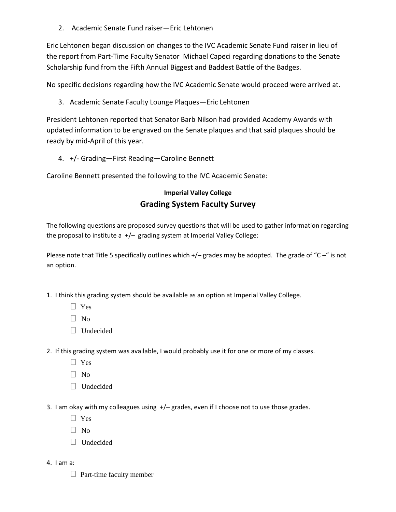2. Academic Senate Fund raiser—Eric Lehtonen

Eric Lehtonen began discussion on changes to the IVC Academic Senate Fund raiser in lieu of the report from Part-Time Faculty Senator Michael Capeci regarding donations to the Senate Scholarship fund from the Fifth Annual Biggest and Baddest Battle of the Badges.

No specific decisions regarding how the IVC Academic Senate would proceed were arrived at.

3. Academic Senate Faculty Lounge Plaques—Eric Lehtonen

President Lehtonen reported that Senator Barb Nilson had provided Academy Awards with updated information to be engraved on the Senate plaques and that said plaques should be ready by mid-April of this year.

4. +/- Grading—First Reading—Caroline Bennett

Caroline Bennett presented the following to the IVC Academic Senate:

# **Imperial Valley College Grading System Faculty Survey**

The following questions are proposed survey questions that will be used to gather information regarding the proposal to institute a  $+/-$  grading system at Imperial Valley College:

Please note that Title 5 specifically outlines which +/- grades may be adopted. The grade of "C-" is not an option.

- 1. I think this grading system should be available as an option at Imperial Valley College.
	- Yes
	- $\Box$  No
	- Undecided
- 2. If this grading system was available, I would probably use it for one or more of my classes.
	- Yes
	- $\Box$  No
	- Undecided
- 3. I am okay with my colleagues using  $+/-$  grades, even if I choose not to use those grades.
	- $\Box$  Yes
	- $\Box$  No
	- Undecided
- 4. I am a:
	- $\Box$  Part-time faculty member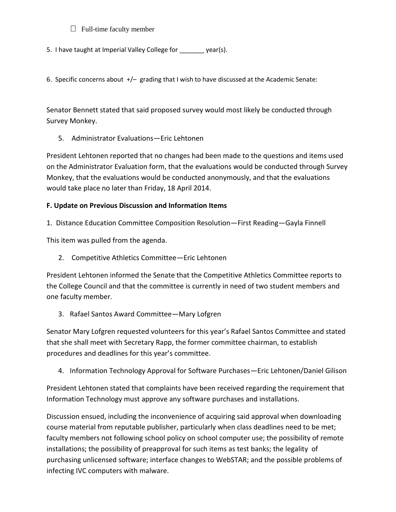### $\Box$  Full-time faculty member

5. I have taught at Imperial Valley College for \_\_\_\_\_\_\_ year(s).

6. Specific concerns about  $+/-$  grading that I wish to have discussed at the Academic Senate:

Senator Bennett stated that said proposed survey would most likely be conducted through Survey Monkey.

5. Administrator Evaluations—Eric Lehtonen

President Lehtonen reported that no changes had been made to the questions and items used on the Administrator Evaluation form, that the evaluations would be conducted through Survey Monkey, that the evaluations would be conducted anonymously, and that the evaluations would take place no later than Friday, 18 April 2014.

### **F. Update on Previous Discussion and Information Items**

1. Distance Education Committee Composition Resolution—First Reading—Gayla Finnell

This item was pulled from the agenda.

2. Competitive Athletics Committee—Eric Lehtonen

President Lehtonen informed the Senate that the Competitive Athletics Committee reports to the College Council and that the committee is currently in need of two student members and one faculty member.

3. Rafael Santos Award Committee—Mary Lofgren

Senator Mary Lofgren requested volunteers for this year's Rafael Santos Committee and stated that she shall meet with Secretary Rapp, the former committee chairman, to establish procedures and deadlines for this year's committee.

4. Information Technology Approval for Software Purchases—Eric Lehtonen/Daniel Gilison

President Lehtonen stated that complaints have been received regarding the requirement that Information Technology must approve any software purchases and installations.

Discussion ensued, including the inconvenience of acquiring said approval when downloading course material from reputable publisher, particularly when class deadlines need to be met; faculty members not following school policy on school computer use; the possibility of remote installations; the possibility of preapproval for such items as test banks; the legality of purchasing unlicensed software; interface changes to WebSTAR; and the possible problems of infecting IVC computers with malware.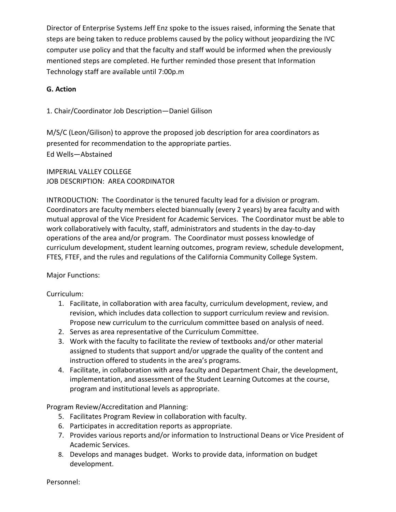Director of Enterprise Systems Jeff Enz spoke to the issues raised, informing the Senate that steps are being taken to reduce problems caused by the policy without jeopardizing the IVC computer use policy and that the faculty and staff would be informed when the previously mentioned steps are completed. He further reminded those present that Information Technology staff are available until 7:00p.m

### **G. Action**

1. Chair/Coordinator Job Description—Daniel Gilison

M/S/C (Leon/Gilison) to approve the proposed job description for area coordinators as presented for recommendation to the appropriate parties. Ed Wells—Abstained

IMPERIAL VALLEY COLLEGE JOB DESCRIPTION: AREA COORDINATOR

INTRODUCTION: The Coordinator is the tenured faculty lead for a division or program. Coordinators are faculty members elected biannually (every 2 years) by area faculty and with mutual approval of the Vice President for Academic Services. The Coordinator must be able to work collaboratively with faculty, staff, administrators and students in the day-to-day operations of the area and/or program. The Coordinator must possess knowledge of curriculum development, student learning outcomes, program review, schedule development, FTES, FTEF, and the rules and regulations of the California Community College System.

#### Major Functions:

Curriculum:

- 1. Facilitate, in collaboration with area faculty, curriculum development, review, and revision, which includes data collection to support curriculum review and revision. Propose new curriculum to the curriculum committee based on analysis of need.
- 2. Serves as area representative of the Curriculum Committee.
- 3. Work with the faculty to facilitate the review of textbooks and/or other material assigned to students that support and/or upgrade the quality of the content and instruction offered to students in the area's programs.
- 4. Facilitate, in collaboration with area faculty and Department Chair, the development, implementation, and assessment of the Student Learning Outcomes at the course, program and institutional levels as appropriate.

Program Review/Accreditation and Planning:

- 5. Facilitates Program Review in collaboration with faculty.
- 6. Participates in accreditation reports as appropriate.
- 7. Provides various reports and/or information to Instructional Deans or Vice President of Academic Services.
- 8. Develops and manages budget. Works to provide data, information on budget development.

Personnel: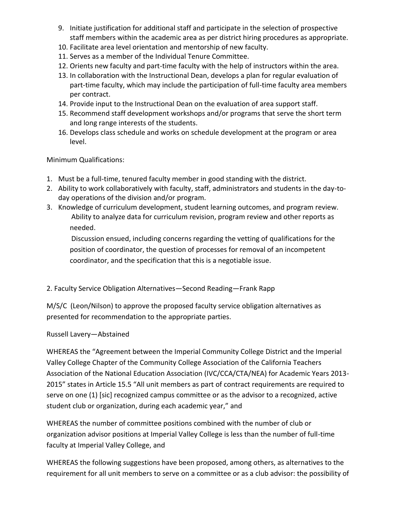- 9. Initiate justification for additional staff and participate in the selection of prospective staff members within the academic area as per district hiring procedures as appropriate.
- 10. Facilitate area level orientation and mentorship of new faculty.
- 11. Serves as a member of the Individual Tenure Committee.
- 12. Orients new faculty and part-time faculty with the help of instructors within the area.
- 13. In collaboration with the Instructional Dean, develops a plan for regular evaluation of part-time faculty, which may include the participation of full-time faculty area members per contract.
- 14. Provide input to the Instructional Dean on the evaluation of area support staff.
- 15. Recommend staff development workshops and/or programs that serve the short term and long range interests of the students.
- 16. Develops class schedule and works on schedule development at the program or area level.

Minimum Qualifications:

- 1. Must be a full-time, tenured faculty member in good standing with the district.
- 2. Ability to work collaboratively with faculty, staff, administrators and students in the day-today operations of the division and/or program.
- 3. Knowledge of curriculum development, student learning outcomes, and program review. Ability to analyze data for curriculum revision, program review and other reports as needed.

Discussion ensued, including concerns regarding the vetting of qualifications for the position of coordinator, the question of processes for removal of an incompetent coordinator, and the specification that this is a negotiable issue.

2. Faculty Service Obligation Alternatives—Second Reading—Frank Rapp

M/S/C (Leon/Nilson) to approve the proposed faculty service obligation alternatives as presented for recommendation to the appropriate parties.

### Russell Lavery—Abstained

WHEREAS the "Agreement between the Imperial Community College District and the Imperial Valley College Chapter of the Community College Association of the California Teachers Association of the National Education Association (IVC/CCA/CTA/NEA) for Academic Years 2013- 2015" states in Article 15.5 "All unit members as part of contract requirements are required to serve on one (1) [sic] recognized campus committee or as the advisor to a recognized, active student club or organization, during each academic year," and

WHEREAS the number of committee positions combined with the number of club or organization advisor positions at Imperial Valley College is less than the number of full-time faculty at Imperial Valley College, and

WHEREAS the following suggestions have been proposed, among others, as alternatives to the requirement for all unit members to serve on a committee or as a club advisor: the possibility of